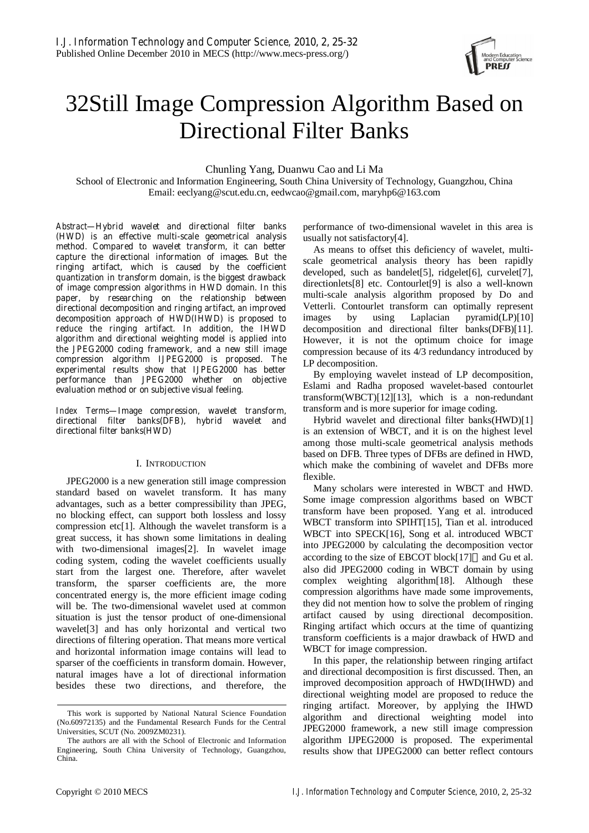

# 32Still Image Compression Algorithm Based on Directional Filter Banks

Chunling Yang, Duanwu Cao and Li Ma

School of Electronic and Information Engineering, South China University of Technology, Guangzhou, China Email: eeclyang@scut.edu.cn, eedwcao@gmail.com, maryhp6@163.com

*Abstract***—Hybrid wavelet and directional filter banks (HWD) is an effective multi-scale geometrical analysis method. Compared to wavelet transform, it can better capture the directional information of images. But the ringing artifact, which is caused by the coefficient quantization in transform domain, is the biggest drawback of image compression algorithms in HWD domain. In this paper, by researching on the relationship between directional decomposition and ringing artifact, an improved decomposition approach of HWD(IHWD) is proposed to reduce the ringing artifact. In addition, the IHWD algorithm and directional weighting model is applied into the JPEG2000 coding framework, and a new still image compression algorithm IJPEG2000 is proposed. The experimental results show that IJPEG2000 has better performance than JPEG2000 whether on objective evaluation method or on subjective visual feeling.** 

*Index Terms***—Image compression, wavelet transform, directional filter banks(DFB), hybrid wavelet and directional filter banks(HWD)** 

# I. INTRODUCTION

JPEG2000 is a new generation still image compression standard based on wavelet transform. It has many advantages, such as a better compressibility than JPEG, no blocking effect, can support both lossless and lossy compression etc[1]. Although the wavelet transform is a great success, it has shown some limitations in dealing with two-dimensional images<sup>[2]</sup>. In wavelet image coding system, coding the wavelet coefficients usually start from the largest one. Therefore, after wavelet transform, the sparser coefficients are, the more concentrated energy is, the more efficient image coding will be. The two-dimensional wavelet used at common situation is just the tensor product of one-dimensional wavelet[3] and has only horizontal and vertical two directions of filtering operation. That means more vertical and horizontal information image contains will lead to sparser of the coefficients in transform domain. However, natural images have a lot of directional information besides these two directions, and therefore, the performance of two-dimensional wavelet in this area is usually not satisfactory[4].

As means to offset this deficiency of wavelet, multiscale geometrical analysis theory has been rapidly developed, such as bandelet[5], ridgelet[6], curvelet[7], directionlets[8] etc. Contourlet[9] is also a well-known multi-scale analysis algorithm proposed by Do and Vetterli. Contourlet transform can optimally represent images by using Laplacian pyramid(LP)[10] decomposition and directional filter banks(DFB)[11]. However, it is not the optimum choice for image compression because of its 4/3 redundancy introduced by LP decomposition.

By employing wavelet instead of LP decomposition, Eslami and Radha proposed wavelet-based contourlet transform(WBCT)[12][13], which is a non-redundant transform and is more superior for image coding.

Hybrid wavelet and directional filter banks(HWD)[1] is an extension of WBCT, and it is on the highest level among those multi-scale geometrical analysis methods based on DFB. Three types of DFBs are defined in HWD, which make the combining of wavelet and DFBs more flexible.

Many scholars were interested in WBCT and HWD. Some image compression algorithms based on WBCT transform have been proposed. Yang et al. introduced WBCT transform into SPIHT[15], Tian et al. introduced WBCT into SPECK[16], Song et al. introduced WBCT into JPEG2000 by calculating the decomposition vector according to the size of EBCOT block[17] and Gu et al. also did JPEG2000 coding in WBCT domain by using complex weighting algorithm[18]. Although these compression algorithms have made some improvements, they did not mention how to solve the problem of ringing artifact caused by using directional decomposition. Ringing artifact which occurs at the time of quantizing transform coefficients is a major drawback of HWD and WBCT for image compression.

In this paper, the relationship between ringing artifact and directional decomposition is first discussed. Then, an improved decomposition approach of HWD(IHWD) and directional weighting model are proposed to reduce the ringing artifact. Moreover, by applying the IHWD algorithm and directional weighting model into JPEG2000 framework, a new still image compression algorithm IJPEG2000 is proposed. The experimental results show that IJPEG2000 can better reflect contours

This work is supported by National Natural Science Foundation (No.60972135) and the Fundamental Research Funds for the Central Universities, SCUT (No. 2009ZM0231).

The authors are all with the School of Electronic and Information Engineering, South China University of Technology, Guangzhou, China.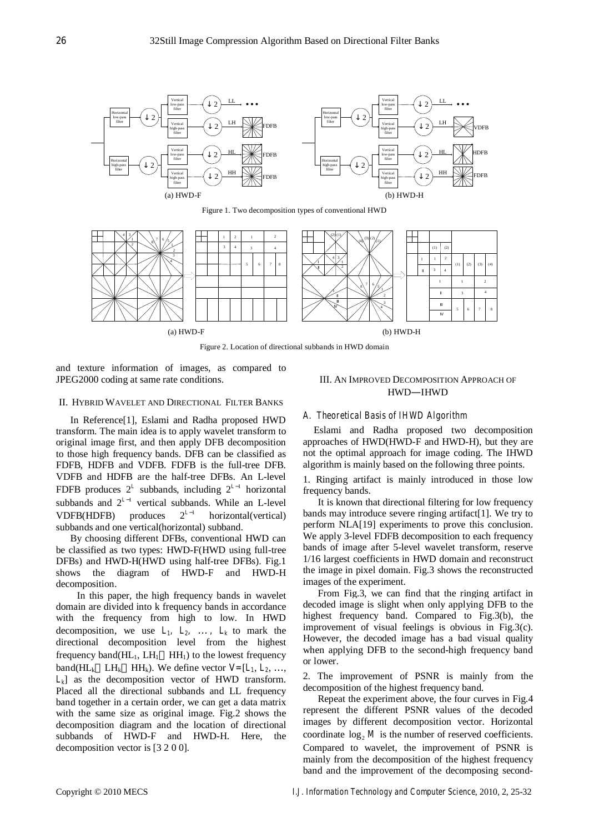

Figure 1. Two decomposition types of conventional HWD



Figure 2. Location of directional subbands in HWD domain

and texture information of images, as compared to JPEG2000 coding at same rate conditions.

# II. HYBRID WAVELET AND DIRECTIONAL FILTER BANKS

In Reference[1], Eslami and Radha proposed HWD transform. The main idea is to apply wavelet transform to original image first, and then apply DFB decomposition to those high frequency bands. DFB can be classified as FDFB, HDFB and VDFB. FDFB is the full-tree DFB. VDFB and HDFB are the half-tree DFBs. An L-level FDFB produces  $2^L$  subbands, including  $2^{L-1}$  horizontal subbands and  $2^{L-1}$  vertical subbands. While an L-level VDFB(HDFB) produces  $2^{L-1}$  horizontal(vertical) subbands and one vertical(horizontal) subband.

By choosing different DFBs, conventional HWD can be classified as two types: HWD-F(HWD using full-tree DFBs) and HWD-H(HWD using half-tree DFBs). Fig.1 shows the diagram of HWD-F and HWD-H decomposition.

In this paper, the high frequency bands in wavelet domain are divided into k frequency bands in accordance with the frequency from high to low. In HWD decomposition, we use  $L_1$ ,  $L_2$ ,  $\ldots$ ,  $L_k$  to mark the directional decomposition level from the highest frequency band( $HL_1$ ,  $LH_1$  HH<sub>1</sub>) to the lowest frequency band( $HL_k$   $LH_k$   $HH_k$ ). We define vector  $V=[L_1, L_2, ...,$ *Lk*] as the decomposition vector of HWD transform. Placed all the directional subbands and LL frequency band together in a certain order, we can get a data matrix with the same size as original image. Fig.2 shows the decomposition diagram and the location of directional subbands of HWD-F and HWD-H. Here, the decomposition vector is [3 2 0 0].

## III. AN IMPROVED DECOMPOSITION APPROACH OF HWD—IHWD

#### *A. Theoretical Basis of IHWD Algorithm*

Eslami and Radha proposed two decomposition approaches of HWD(HWD-F and HWD-H), but they are not the optimal approach for image coding. The IHWD algorithm is mainly based on the following three points.

1. Ringing artifact is mainly introduced in those low frequency bands.

It is known that directional filtering for low frequency bands may introduce severe ringing artifact[1]. We try to perform NLA[19] experiments to prove this conclusion. We apply 3-level FDFB decomposition to each frequency bands of image after 5-level wavelet transform, reserve 1/16 largest coefficients in HWD domain and reconstruct the image in pixel domain. Fig.3 shows the reconstructed images of the experiment.

From Fig.3, we can find that the ringing artifact in decoded image is slight when only applying DFB to the highest frequency band. Compared to Fig.3(b), the improvement of visual feelings is obvious in Fig.3(c). However, the decoded image has a bad visual quality when applying DFB to the second-high frequency band or lower.

2. The improvement of PSNR is mainly from the decomposition of the highest frequency band.

Repeat the experiment above, the four curves in Fig.4 represent the different PSNR values of the decoded images by different decomposition vector. Horizontal coordinate  $log_2 M$  is the number of reserved coefficients. Compared to wavelet, the improvement of PSNR is mainly from the decomposition of the highest frequency band and the improvement of the decomposing second-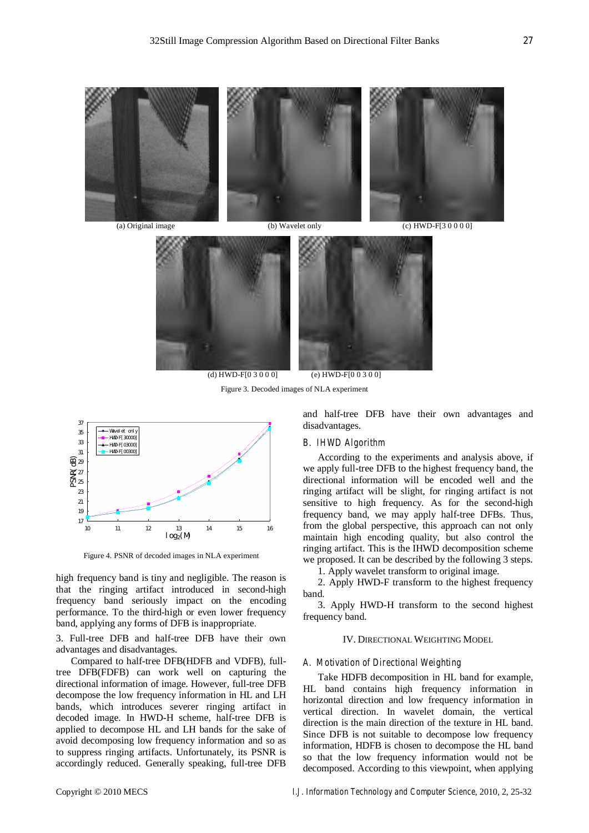

(a) Original image (b) Wavelet only (c) HWD-F[3 0 0 0 0]



(d) HWD-F[0 3 0 0 0] (e) HWD-F[0 0 3 0 0]

Figure 3. Decoded images of NLA experiment



Figure 4. PSNR of decoded images in NLA experiment

high frequency band is tiny and negligible. The reason is that the ringing artifact introduced in second-high frequency band seriously impact on the encoding performance. To the third-high or even lower frequency band, applying any forms of DFB is inappropriate.

3. Full-tree DFB and half-tree DFB have their own advantages and disadvantages.

Compared to half-tree DFB(HDFB and VDFB), fulltree DFB(FDFB) can work well on capturing the directional information of image. However, full-tree DFB decompose the low frequency information in HL and LH bands, which introduces severer ringing artifact in decoded image. In HWD-H scheme, half-tree DFB is applied to decompose HL and LH bands for the sake of avoid decomposing low frequency information and so as to suppress ringing artifacts. Unfortunately, its PSNR is accordingly reduced. Generally speaking, full-tree DFB and half-tree DFB have their own advantages and disadvantages.

## *B. IHWD Algorithm*

According to the experiments and analysis above, if we apply full-tree DFB to the highest frequency band, the directional information will be encoded well and the ringing artifact will be slight, for ringing artifact is not sensitive to high frequency. As for the second-high frequency band, we may apply half-tree DFBs. Thus, from the global perspective, this approach can not only maintain high encoding quality, but also control the ringing artifact. This is the IHWD decomposition scheme we proposed. It can be described by the following 3 steps.

1. Apply wavelet transform to original image.

2. Apply HWD-F transform to the highest frequency band.

3. Apply HWD-H transform to the second highest frequency band.

### IV. DIRECTIONAL WEIGHTING MODEL

#### *A. Motivation of Directional Weighting*

Take HDFB decomposition in HL band for example, HL band contains high frequency information in horizontal direction and low frequency information in vertical direction. In wavelet domain, the vertical direction is the main direction of the texture in HL band. Since DFB is not suitable to decompose low frequency information, HDFB is chosen to decompose the HL band so that the low frequency information would not be decomposed. According to this viewpoint, when applying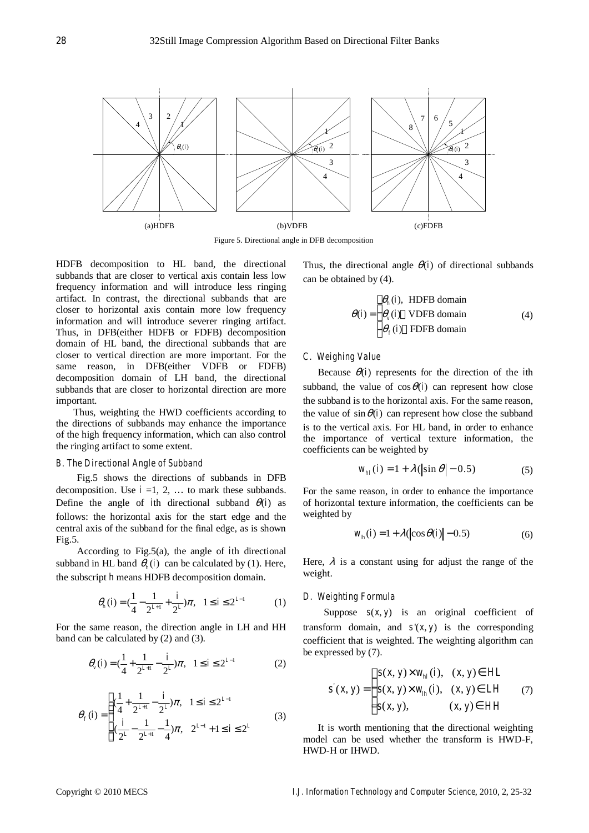

Figure 5. Directional angle in DFB decomposition

HDFB decomposition to HL band, the directional subbands that are closer to vertical axis contain less low frequency information and will introduce less ringing artifact. In contrast, the directional subbands that are closer to horizontal axis contain more low frequency information and will introduce severer ringing artifact. Thus, in DFB(either HDFB or FDFB) decomposition domain of HL band, the directional subbands that are closer to vertical direction are more important. For the same reason, in DFB(either VDFB or FDFB) decomposition domain of LH band, the directional subbands that are closer to horizontal direction are more important.

 Thus, weighting the HWD coefficients according to the directions of subbands may enhance the importance of the high frequency information, which can also control the ringing artifact to some extent.

## *B. The Directional Angle of Subband*

Fig.5 shows the directions of subbands in DFB decomposition. Use  $i = 1, 2, \ldots$  to mark these subbands. Define the angle of *i*th directional subband  $\theta(i)$  as follows: the horizontal axis for the start edge and the central axis of the subband for the final edge, as is shown Fig.5.

According to Fig.5(a), the angle of *i*th directional subband in HL band  $\theta_{\scriptscriptstyle h}(i)$  can be calculated by (1). Here, the subscript *h* means HDFB decomposition domain.

$$
\theta_h(i) = (\frac{1}{4} - \frac{1}{2^{L+1}} + \frac{i}{2^L})\pi, \quad 1 \le i \le 2^{L-1}
$$
 (1)

For the same reason, the direction angle in LH and HH band can be calculated by (2) and (3).

$$
\theta_{\nu}(i) = \left(\frac{1}{4} + \frac{1}{2^{L+1}} - \frac{i}{2^L}\right)\pi, \quad 1 \le i \le 2^{L-1}
$$
 (2)

$$
\theta_{f}(i) = \begin{cases}\n(\frac{1}{4} + \frac{1}{2^{L+1}} - \frac{i}{2^{L}})\pi, & 1 \leq i \leq 2^{L-1} \\
(\frac{i}{2^{L}} - \frac{1}{2^{L+1}} - \frac{1}{4})\pi, & 2^{L-1} + 1 \leq i \leq 2^{L}\n\end{cases}
$$
\n(3)

Thus, the directional angle  $\theta(i)$  of directional subbands can be obtained by (4).

$$
\theta(i) = \begin{cases} \theta_h(i), \text{ HDFB domain} \\ \theta_v(i) \text{ VDFB domain} \\ \theta_f(i) \text{ FDFB domain} \end{cases} (4)
$$

# *C. Weighing Value*

Because  $\theta(i)$  represents for the direction of the *i*th subband, the value of  $\cos \theta$  *i* can represent how close the subband is to the horizontal axis. For the same reason, the value of  $\sin \theta$  *i* can represent how close the subband is to the vertical axis. For HL band, in order to enhance the importance of vertical texture information, the coefficients can be weighted by

$$
w_{hl}(i) = 1 + \lambda \left( \left| \sin \theta \right| - 0.5 \right) \tag{5}
$$

For the same reason, in order to enhance the importance of horizontal texture information, the coefficients can be weighted by

$$
w_{lh}(i) = 1 + \lambda \left( \left| \cos \theta(i) \right| - 0.5 \right) \tag{6}
$$

Here,  $\lambda$  is a constant using for adjust the range of the weight.

#### *D. Weighting Formula*

Suppose  $s(x, y)$  is an original coefficient of transform domain, and  $s'(x, y)$  is the corresponding coefficient that is weighted. The weighting algorithm can be expressed by (7).

$$
s'(x, y) = \begin{cases} s(x, y) \times w_{hl}(i), & (x, y) \in HL \\ s(x, y) \times w_{lh}(i), & (x, y) \in LH \\ s(x, y), & (x, y) \in HH \end{cases}
$$
(7)

It is worth mentioning that the directional weighting model can be used whether the transform is HWD-F, HWD-H or IHWD.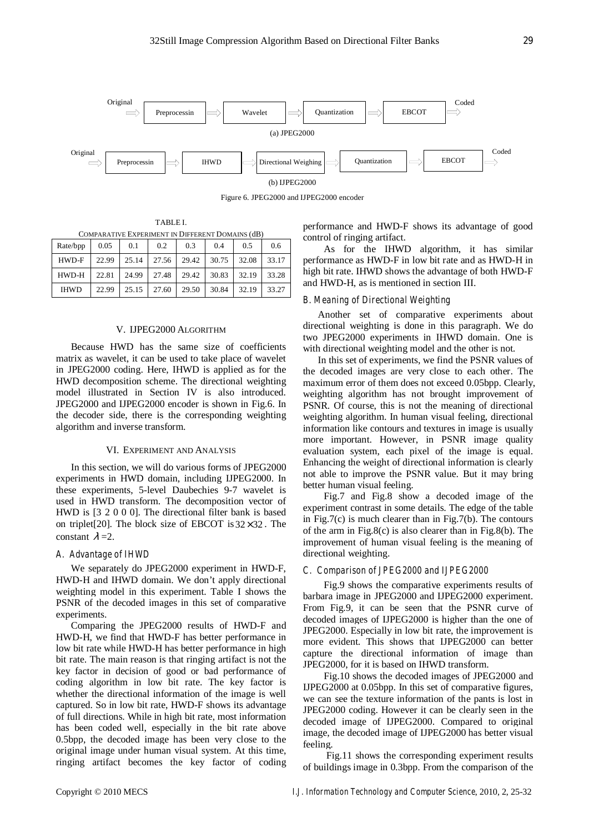

Figure 6. JPEG2000 and IJPEG2000 encoder

TABLE I. COMPARATIVE EXPERIMENT IN DIFFERENT DOMAINS (dB)

| Rate/bpp    | 0.05  | 0.1   | 0.2   | 0.3   | 0.4   | 0.5   | 0.6   |
|-------------|-------|-------|-------|-------|-------|-------|-------|
| HWD-F       | 22.99 | 25.14 | 27.56 | 29.42 | 30.75 | 32.08 | 33.17 |
| HWD-H       | 22.81 | 24.99 | 27.48 | 29.42 | 30.83 | 32.19 | 33.28 |
| <b>IHWD</b> | 22.99 | 25.15 | 27.60 | 29.50 | 30.84 | 32.19 | 33.27 |

#### V. IJPEG2000 ALGORITHM

Because HWD has the same size of coefficients matrix as wavelet, it can be used to take place of wavelet in JPEG2000 coding. Here, IHWD is applied as for the HWD decomposition scheme. The directional weighting model illustrated in Section IV is also introduced. JPEG2000 and IJPEG2000 encoder is shown in Fig.6. In the decoder side, there is the corresponding weighting algorithm and inverse transform.

#### VI. EXPERIMENT AND ANALYSIS

In this section, we will do various forms of JPEG2000 experiments in HWD domain, including IJPEG2000. In these experiments, 5-level Daubechies 9-7 wavelet is used in HWD transform. The decomposition vector of HWD is [3 2 0 0 0]. The directional filter bank is based on triplet[20]. The block size of EBCOT is  $32 \times 32$ . The constant  $\lambda = 2$ .

## *A. Advantage of IHWD*

We separately do JPEG2000 experiment in HWD-F, HWD-H and IHWD domain. We don't apply directional weighting model in this experiment. Table I shows the PSNR of the decoded images in this set of comparative experiments.

Comparing the JPEG2000 results of HWD-F and HWD-H, we find that HWD-F has better performance in low bit rate while HWD-H has better performance in high bit rate. The main reason is that ringing artifact is not the key factor in decision of good or bad performance of coding algorithm in low bit rate. The key factor is whether the directional information of the image is well captured. So in low bit rate, HWD-F shows its advantage of full directions. While in high bit rate, most information has been coded well, especially in the bit rate above 0.5bpp, the decoded image has been very close to the original image under human visual system. At this time, ringing artifact becomes the key factor of coding performance and HWD-F shows its advantage of good control of ringing artifact.

As for the IHWD algorithm, it has similar performance as HWD-F in low bit rate and as HWD-H in high bit rate. IHWD shows the advantage of both HWD-F and HWD-H, as is mentioned in section III.

# *B. Meaning of Directional Weighting*

Another set of comparative experiments about directional weighting is done in this paragraph. We do two JPEG2000 experiments in IHWD domain. One is with directional weighting model and the other is not.

In this set of experiments, we find the PSNR values of the decoded images are very close to each other. The maximum error of them does not exceed 0.05bpp. Clearly, weighting algorithm has not brought improvement of PSNR. Of course, this is not the meaning of directional weighting algorithm. In human visual feeling, directional information like contours and textures in image is usually more important. However, in PSNR image quality evaluation system, each pixel of the image is equal. Enhancing the weight of directional information is clearly not able to improve the PSNR value. But it may bring better human visual feeling.

Fig.7 and Fig.8 show a decoded image of the experiment contrast in some details. The edge of the table in Fig.7(c) is much clearer than in Fig.7(b). The contours of the arm in Fig.8(c) is also clearer than in Fig.8(b). The improvement of human visual feeling is the meaning of directional weighting.

## *C. Comparison of JPEG2000 and IJPEG2000*

Fig.9 shows the comparative experiments results of barbara image in JPEG2000 and IJPEG2000 experiment. From Fig.9, it can be seen that the PSNR curve of decoded images of IJPEG2000 is higher than the one of JPEG2000. Especially in low bit rate, the improvement is more evident. This shows that IJPEG2000 can better capture the directional information of image than JPEG2000, for it is based on IHWD transform.

Fig.10 shows the decoded images of JPEG2000 and IJPEG2000 at 0.05bpp. In this set of comparative figures, we can see the texture information of the pants is lost in JPEG2000 coding. However it can be clearly seen in the decoded image of IJPEG2000. Compared to original image, the decoded image of IJPEG2000 has better visual feeling.

 Fig.11 shows the corresponding experiment results of buildings image in 0.3bpp. From the comparison of the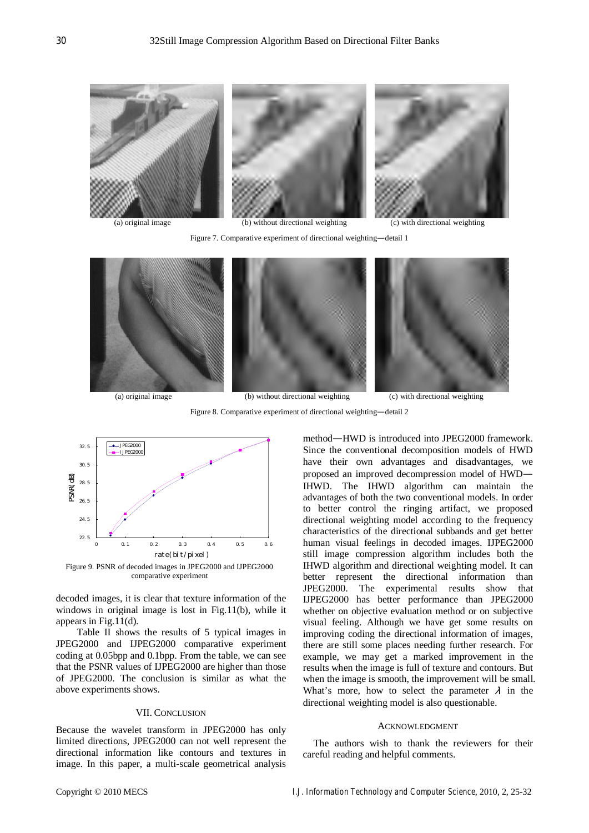

Figure 7. Comparative experiment of directional weighting—detail 1



Figure 8. Comparative experiment of directional weighting—detail 2



Figure 9. PSNR of decoded images in JPEG2000 and IJPEG2000 comparative experiment

decoded images, it is clear that texture information of the windows in original image is lost in Fig.11(b), while it appears in Fig.11(d).

Table II shows the results of 5 typical images in JPEG2000 and IJPEG2000 comparative experiment coding at 0.05bpp and 0.1bpp. From the table, we can see that the PSNR values of IJPEG2000 are higher than those of JPEG2000. The conclusion is similar as what the above experiments shows.

#### VII. CONCLUSION

Because the wavelet transform in JPEG2000 has only limited directions, JPEG2000 can not well represent the directional information like contours and textures in image. In this paper, a multi-scale geometrical analysis method—HWD is introduced into JPEG2000 framework. Since the conventional decomposition models of HWD have their own advantages and disadvantages, we proposed an improved decompression model of HWD— IHWD. The IHWD algorithm can maintain the advantages of both the two conventional models. In order to better control the ringing artifact, we proposed directional weighting model according to the frequency characteristics of the directional subbands and get better human visual feelings in decoded images. IJPEG2000 still image compression algorithm includes both the IHWD algorithm and directional weighting model. It can better represent the directional information than JPEG2000. The experimental results show that IJPEG2000 has better performance than JPEG2000 whether on objective evaluation method or on subjective visual feeling. Although we have get some results on improving coding the directional information of images, there are still some places needing further research. For example, we may get a marked improvement in the results when the image is full of texture and contours. But when the image is smooth, the improvement will be small. What's more, how to select the parameter  $\lambda$  in the directional weighting model is also questionable.

## ACKNOWLEDGMENT

The authors wish to thank the reviewers for their careful reading and helpful comments.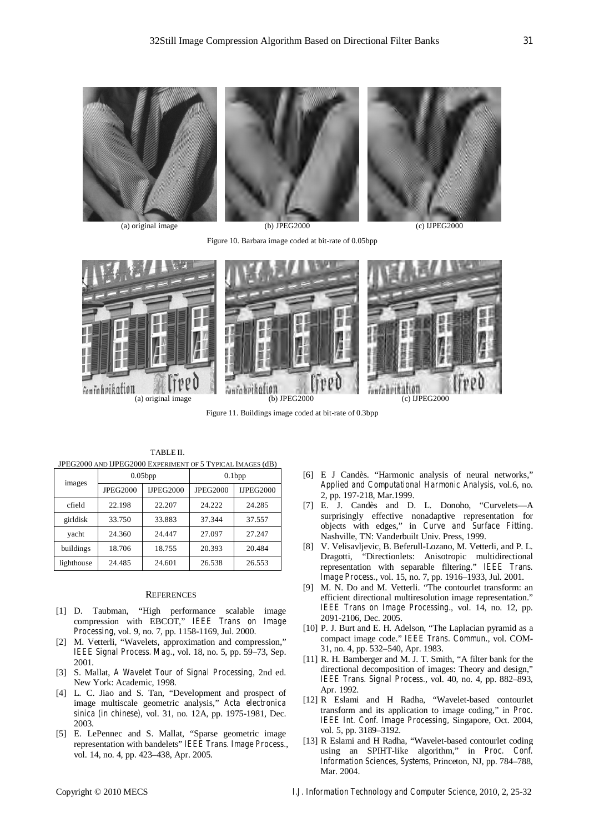

Figure 10. Barbara image coded at bit-rate of 0.05bpp



Figure 11. Buildings image coded at bit-rate of 0.3bpp

| images     |                 | 0.05bp           | 0.1bp           |                  |  |
|------------|-----------------|------------------|-----------------|------------------|--|
|            | <b>JPEG2000</b> | <b>IJPEG2000</b> | <b>JPEG2000</b> | <b>IJPEG2000</b> |  |
| cfield     | 22.198          | 22.207           | 24.222          | 24.285           |  |
| girldisk   | 33.750          | 33.883           | 37.344          | 37.557           |  |
| vacht      | 24.360          | 24.447           | 27.097          | 27.247           |  |
| buildings  | 18.706          | 18.755           | 20.393          | 20.484           |  |
| lighthouse | 24.485          | 24.601           | 26.538          | 26.553           |  |

TABLE II. JPEG2000 AND IJPEG2000 EXPERIMENT OF 5 TYPICAL IMAGES (dB)

# **REFERENCES**

- [1] D. Taubman, "High performance scalable image compression with EBCOT," *IEEE Trans on Image Processing*, vol. 9, no. 7, pp. 1158-1169, Jul. 2000.
- [2] M. Vetterli, "Wavelets, approximation and compression," *IEEE Signal Process. Mag.*, vol. 18, no. 5, pp. 59–73, Sep. 2001.
- [3] S. Mallat, *A Wavelet Tour of Signal Processing*, 2nd ed. New York: Academic, 1998.
- [4] L. C. Jiao and S. Tan, "Development and prospect of image multiscale geometric analysis," *Acta electronica sinica (in chinese)*, vol. 31, no. 12A, pp. 1975-1981, Dec. 2003.
- [5] E. LePennec and S. Mallat, "Sparse geometric image representation with bandelets" *IEEE Trans. Image Process.*, vol. 14, no. 4, pp. 423–438, Apr. 2005.
- [6] E J Candès. "Harmonic analysis of neural networks," *Applied and Computational Harmonic Analysis*, vol.6, no. 2, pp. 197-218, Mar.1999.
- [7] E. J. Candès and D. L. Donoho, "Curvelets—A surprisingly effective nonadaptive representation for objects with edges," in *Curve and Surface Fitting*. Nashville, TN: Vanderbuilt Univ. Press, 1999.
- [8] V. Velisavljevic, B. Beferull-Lozano, M. Vetterli, and P. L. Dragotti, "Directionlets: Anisotropic multidirectional representation with separable filtering." *IEEE Trans. Image Process.*, vol. 15, no. 7, pp. 1916–1933, Jul. 2001.
- [9] M. N. Do and M. Vetterli. "The contourlet transform: an efficient directional multiresolution image representation." *IEEE Trans on Image Processing*., vol. 14, no. 12, pp. 2091-2106, Dec. 2005.
- [10] P. J. Burt and E. H. Adelson, "The Laplacian pyramid as a compact image code." *IEEE Trans. Commun.*, vol. COM-31, no. 4, pp. 532–540, Apr. 1983.
- [11] R. H. Bamberger and M. J. T. Smith, "A filter bank for the directional decomposition of images: Theory and design," *IEEE Trans. Signal Process.*, vol. 40, no. 4, pp. 882–893, Apr. 1992.
- [12] R Eslami and H Radha, "Wavelet-based contourlet transform and its application to image coding," in *Proc. IEEE Int. Conf. Image Processing,* Singapore, Oct. 2004, vol. 5, pp. 3189–3192.
- [13] R Eslami and H Radha, "Wavelet-based contourlet coding using an SPIHT-like algorithm," in *Proc. Conf. Information Sciences, Systems*, Princeton, NJ, pp. 784–788, Mar. 2004.

Copyright © 2010 MECS *I.J. Information Technology and Computer Science*, 2010, 2, 25-32